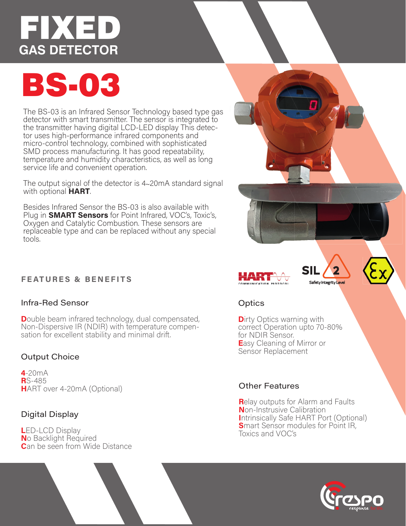# EDKED **GAS DETECTOR**

# **BS-03**

The BS-03 is an Infrared Sensor Technology based type gas detector with smart transmitter. The sensor is integrated to the transmitter having digital LCD-LED display This detector uses high-performance infrared components and micro-control technology, combined with sophisticated SMD process manufacturing. It has good repeatability, temperature and humidity characteristics, as well as long service life and convenient operation.

The output signal of the detector is 4~20mA standard signal with optional **HART**.

Besides Infrared Sensor the BS-03 is also available with Plug in **SMART Sensors** for Point Infrared, VOC's, Toxic's, Oxygen and Catalytic Combustion. These sensors are replaceable type and can be replaced without any special tools.

# **FEATURES & BENEFITS**

# Infra-Red Sensor

**Double beam infrared technology, dual compensated,** Non-Dispersive IR (NDIR) with temperature compensation for excellent stability and minimal drift.

# **Output Choice**

 $4-20mA$ **R**S-485 HART over 4-20mA (Optional)

# **Digital Display**

**LED-LCD Display** No Backlight Required **Can be seen from Wide Distance** 







# Optics

**Dirty Optics warning with** correct Operation upto 70-80% for NDIR Sensor. Easy Cleaning of Mirror or Sensor Replacement

# **Other Features**

**Relay outputs for Alarm and Faults** Non-Instrusive Calibration Intrinsically Safe HART Port (Optional) Smart Sensor modules for Point IR, Toxics and VOC's